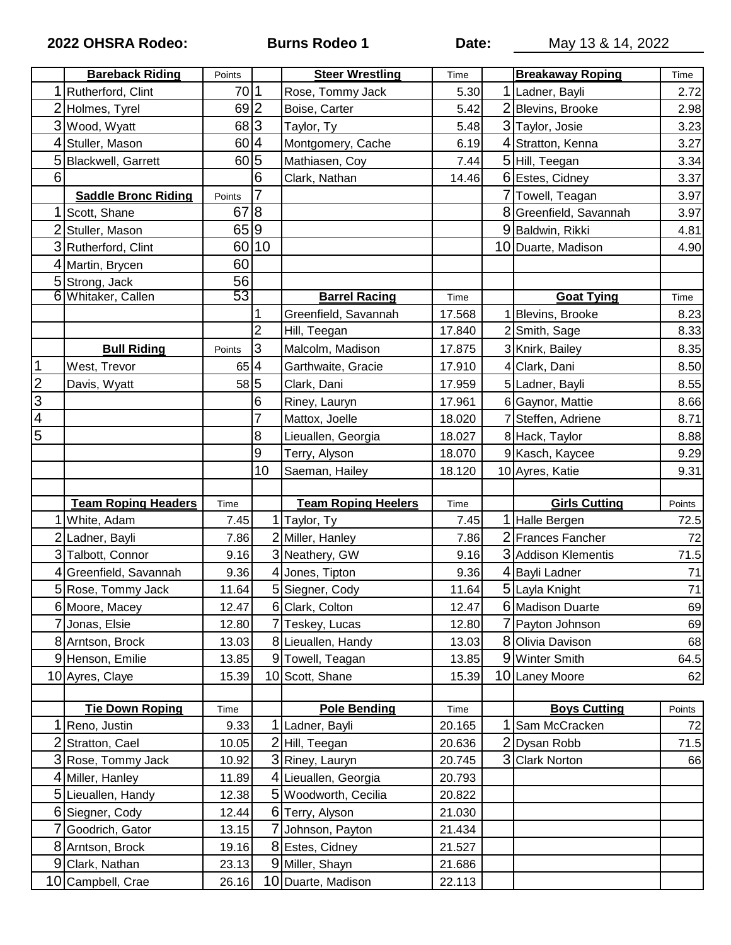**2022 OHSRA Rodeo: Burns Rodeo 1 Date:** May 13 & 14, 2022

|                | <b>Bareback Riding</b>             | Points         |                | <b>Steer Wrestling</b>                | Time             |   | <b>Breakaway Roping</b> | Time                               |
|----------------|------------------------------------|----------------|----------------|---------------------------------------|------------------|---|-------------------------|------------------------------------|
|                | Rutherford, Clint                  | 70             | 1              | Rose, Tommy Jack                      | 5.30             | 1 | Ladner, Bayli           | 2.72                               |
| $\overline{c}$ | Holmes, Tyrel                      | $69$  2        |                | Boise, Carter                         | 5.42             | 2 | Blevins, Brooke         | 2.98                               |
| 3              | Wood, Wyatt                        | 68 3           |                | Taylor, Ty                            | 5.48             |   | 3 Taylor, Josie         | 3.23                               |
|                | Stuller, Mason                     | 60             | $\overline{4}$ | Montgomery, Cache                     | 6.19             |   | 4 Stratton, Kenna       | 3.27                               |
| 5              | Blackwell, Garrett                 | 60             | 5              | Mathiasen, Coy                        | 7.44             |   | 5 Hill, Teegan          | 3.34                               |
| 6              |                                    |                | 6              | Clark, Nathan                         | 14.46            |   | 6 Estes, Cidney         | 3.37                               |
|                | <b>Saddle Bronc Riding</b>         | Points         | 7              |                                       |                  | 7 | Towell, Teagan          | 3.97                               |
|                | Scott, Shane                       | 67             | 8              |                                       |                  | 8 | Greenfield, Savannah    | 3.97                               |
|                | Stuller, Mason                     | 65 9           |                |                                       |                  |   | 9 Baldwin, Rikki        | 4.81                               |
|                | 3 Rutherford, Clint                | 60             | 10             |                                       |                  |   | 10 Duarte, Madison      | 4.90                               |
|                | Martin, Brycen                     | 60             |                |                                       |                  |   |                         |                                    |
|                | 5 Strong, Jack                     | 56             |                |                                       |                  |   |                         |                                    |
|                | 6 Whitaker, Callen                 | 53             |                | <b>Barrel Racing</b>                  | Time             |   | <b>Goat Tying</b>       | Time                               |
|                |                                    |                |                | Greenfield, Savannah                  | 17.568           |   | Blevins, Brooke         | 8.23                               |
|                |                                    |                | $\overline{2}$ | Hill, Teegan                          | 17.840           |   | 2 Smith, Sage           | 8.33                               |
|                | <b>Bull Riding</b>                 | Points         | 3              | Malcolm, Madison                      | 17.875           |   | 3 Knirk, Bailey         | 8.35                               |
| $\mathbf 1$    | West, Trevor                       | 65             | 4              | Garthwaite, Gracie                    | 17.910           |   | 4 Clark, Dani           | 8.50                               |
| $\overline{2}$ | Davis, Wyatt                       | 58 5           |                | Clark, Dani                           | 17.959           |   | 5 Ladner, Bayli         | 8.55                               |
| $\overline{3}$ |                                    |                | 6              | Riney, Lauryn                         | 17.961           |   | 6 Gaynor, Mattie        | 8.66                               |
| $\overline{4}$ |                                    |                | 7              | Mattox, Joelle                        | 18.020           |   | Steffen, Adriene        | 8.71                               |
| $\overline{5}$ |                                    |                | 8              | Lieuallen, Georgia                    | 18.027           |   | 8 Hack, Taylor          | 8.88                               |
|                |                                    |                | 9              | Terry, Alyson                         | 18.070           |   | 9 Kasch, Kaycee         | 9.29                               |
|                |                                    |                | 10             | Saeman, Hailey                        | 18.120           |   | 10 Ayres, Katie         | 9.31                               |
|                |                                    |                |                |                                       |                  |   |                         |                                    |
|                |                                    |                |                |                                       |                  |   |                         |                                    |
|                | <b>Team Roping Headers</b>         | Time           |                | <b>Team Roping Heelers</b>            | Time             |   | <b>Girls Cutting</b>    | Points                             |
|                | 1 White, Adam                      | 7.45           |                | 1 Taylor, Ty                          | 7.45             |   | <b>Halle Bergen</b>     | 72.5                               |
|                | 2 Ladner, Bayli                    | 7.86           |                | 2 Miller, Hanley                      | 7.86             | 2 | Frances Fancher         | 72                                 |
|                | 3 Talbott, Connor                  | 9.16           |                | 3 Neathery, GW                        | 9.16             |   | 3 Addison Klementis     | 71.5                               |
|                | Greenfield, Savannah               | 9.36           |                | 4 Jones, Tipton                       | 9.36             |   | 4 Bayli Ladner          | 71                                 |
|                | 5 Rose, Tommy Jack                 | 11.64          |                | 5 Siegner, Cody                       | 11.64            |   | 5 Layla Knight          |                                    |
|                | 6 Moore, Macey                     | 12.47          |                | 6 Clark, Colton                       | 12.47            |   | 6 Madison Duarte        |                                    |
|                | Jonas, Elsie                       | 12.80          |                | 7 Teskey, Lucas                       | 12.80            |   | 7 Payton Johnson        |                                    |
|                | 8 Arntson, Brock                   | 13.03          |                | 8 Lieuallen, Handy                    | 13.03            |   | 8 Olivia Davison        | 68                                 |
|                | 9 Henson, Emilie                   | 13.85          |                | 9 Towell, Teagan                      | 13.85            |   | 9 Winter Smith          | 64.5                               |
|                | 10 Ayres, Claye                    | 15.39          |                | 10 Scott, Shane                       | 15.39            |   | 10 Laney Moore          |                                    |
|                |                                    |                |                |                                       |                  |   |                         |                                    |
|                | <b>Tie Down Roping</b>             | Time           |                | <b>Pole Bending</b>                   | Time             |   | <b>Boys Cutting</b>     | Points                             |
|                | Reno, Justin                       | 9.33           |                | 1 Ladner, Bayli                       | 20.165           | 1 | Sam McCracken           |                                    |
| 2              | Stratton, Cael                     | 10.05          |                | 2 Hill, Teegan                        | 20.636           | 2 | Dysan Robb              |                                    |
|                | 3 Rose, Tommy Jack                 | 10.92          |                | 3 Riney, Lauryn                       | 20.745           |   | 3 Clark Norton          | 66                                 |
|                | 4 Miller, Hanley                   | 11.89          |                | 4 Lieuallen, Georgia                  | 20.793           |   |                         |                                    |
|                | 5 Lieuallen, Handy                 | 12.38          |                | 5 Woodworth, Cecilia                  | 20.822           |   |                         |                                    |
|                | 6 Siegner, Cody                    | 12.44          |                | 6 Terry, Alyson                       | 21.030           |   |                         |                                    |
|                | Goodrich, Gator                    | 13.15          |                | 7 Johnson, Payton                     | 21.434           |   |                         |                                    |
|                | 8 Arntson, Brock                   | 19.16          |                | 8 Estes, Cidney                       | 21.527           |   |                         |                                    |
| 9              | Clark, Nathan<br>10 Campbell, Crae | 23.13<br>26.16 |                | 9 Miller, Shayn<br>10 Duarte, Madison | 21.686<br>22.113 |   |                         | 71<br>69<br>69<br>62<br>72<br>71.5 |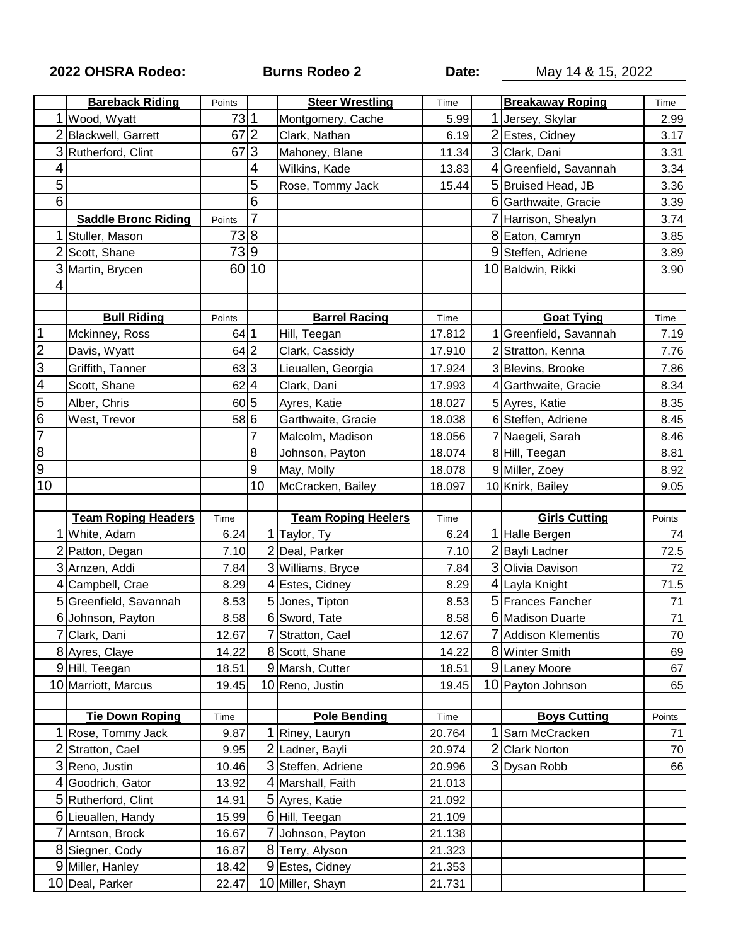## **2022 OHSRA Rodeo: Burns Rodeo 2 Date:** May 14 & 15, 2022

|                                      | <b>Bareback Riding</b>            | Points         |    | <b>Steer Wrestling</b>              | Time             |   | <b>Breakaway Roping</b> | Time   |
|--------------------------------------|-----------------------------------|----------------|----|-------------------------------------|------------------|---|-------------------------|--------|
|                                      | Wood, Wyatt                       | 73 1           |    | Montgomery, Cache                   | 5.99             |   | Jersey, Skylar          | 2.99   |
|                                      | Blackwell, Garrett                | 67             | 2  | Clark, Nathan                       | 6.19             |   | Estes, Cidney           | 3.17   |
| 3                                    | Rutherford, Clint                 | 67             | 3  | Mahoney, Blane                      | 11.34            |   | 3 Clark, Dani           | 3.31   |
| 4                                    |                                   |                | 4  | Wilkins, Kade                       | 13.83            |   | Greenfield, Savannah    | 3.34   |
| 5                                    |                                   |                | 5  | Rose, Tommy Jack                    | 15.44            |   | 5 Bruised Head, JB      | 3.36   |
| 6                                    |                                   |                | 6  |                                     |                  |   | 6 Garthwaite, Gracie    | 3.39   |
|                                      | <b>Saddle Bronc Riding</b>        | Points         | 7  |                                     |                  |   | Harrison, Shealyn       | 3.74   |
|                                      | Stuller, Mason                    | 738            |    |                                     |                  |   | 8 Eaton, Camryn         | 3.85   |
|                                      | Scott, Shane                      | 739            |    |                                     |                  |   | 9 Steffen, Adriene      | 3.89   |
| 3                                    | Martin, Brycen                    | 60 10          |    |                                     |                  |   | 10 Baldwin, Rikki       | 3.90   |
| ⊿                                    |                                   |                |    |                                     |                  |   |                         |        |
|                                      |                                   |                |    |                                     |                  |   |                         |        |
|                                      | <b>Bull Riding</b>                | Points         |    | <b>Barrel Racing</b>                | Time             |   | <b>Goat Tying</b>       | Time   |
| $\overline{1}$                       | Mckinney, Ross                    | 64 1           |    | Hill, Teegan                        | 17.812           |   | Greenfield, Savannah    | 7.19   |
| 2<br>3<br>4<br>5<br>6<br>7<br>8<br>9 | Davis, Wyatt                      | 64 2           |    | Clark, Cassidy                      | 17.910           |   | 2 Stratton, Kenna       | 7.76   |
|                                      | Griffith, Tanner                  | 63 3           |    | Lieuallen, Georgia                  | 17.924           |   | 3 Blevins, Brooke       | 7.86   |
|                                      | Scott, Shane                      | $62$  4        |    | Clark, Dani                         | 17.993           |   | Garthwaite, Gracie      | 8.34   |
|                                      | Alber, Chris                      | 60 5           |    | Ayres, Katie                        | 18.027           |   | 5 Ayres, Katie          | 8.35   |
|                                      | West, Trevor                      | 58 6           |    | Garthwaite, Gracie                  | 18.038           |   | 6 Steffen, Adriene      | 8.45   |
|                                      |                                   |                |    | Malcolm, Madison                    | 18.056           |   | Naegeli, Sarah          | 8.46   |
|                                      |                                   |                | 8  | Johnson, Payton                     | 18.074           |   | 8 Hill, Teegan          | 8.81   |
|                                      |                                   |                | 9  | May, Molly                          | 18.078           |   | 9 Miller, Zoey          | 8.92   |
| 10                                   |                                   |                | 10 | McCracken, Bailey                   | 18.097           |   | 10 Knirk, Bailey        | 9.05   |
|                                      |                                   |                |    |                                     |                  |   |                         |        |
|                                      | <b>Team Roping Headers</b>        | Time           |    | <b>Team Roping Heelers</b>          | Time             |   | <b>Girls Cutting</b>    | Points |
|                                      | White, Adam                       | 6.24           |    | 1 Taylor, Ty                        | 6.24             |   | Halle Bergen            | 74     |
|                                      | Patton, Degan                     | 7.10           |    | 2 Deal, Parker                      | 7.10             |   | <b>Bayli Ladner</b>     | 72.5   |
|                                      | Arnzen, Addi                      |                |    | 3 Williams, Bryce                   | 7.84             |   | 3 Olivia Davison        | 72     |
| $\overline{3}$                       |                                   | 7.84           |    |                                     |                  |   |                         |        |
|                                      | Campbell, Crae                    | 8.29           |    | 4 Estes, Cidney                     | 8.29             |   | 4 Layla Knight          | 71.5   |
| 5                                    | Greenfield, Savannah              | 8.53           |    | 5 Jones, Tipton                     | 8.53             |   | 5 Frances Fancher       | 71     |
|                                      | 6 Johnson, Payton                 | 8.58           |    | 6 Sword, Tate                       | 8.58             |   | 6 Madison Duarte        | 71     |
|                                      | 7 Clark, Dani                     | 12.67          |    | 7 Stratton, Cael                    | 12.67            |   | 7 Addison Klementis     | $70\,$ |
|                                      | 8 Ayres, Claye                    | 14.22          |    | 8 Scott, Shane                      | 14.22            |   | 8 Winter Smith          | 69     |
|                                      | 9Hill, Teegan                     | 18.51          |    | 9 Marsh, Cutter                     | 18.51            |   | 9 Laney Moore           | 67     |
|                                      | 10 Marriott, Marcus               | 19.45          |    | 10 Reno, Justin                     | 19.45            |   | 10 Payton Johnson       | 65     |
|                                      |                                   |                |    |                                     |                  |   |                         |        |
|                                      | <b>Tie Down Roping</b>            | Time           |    | <b>Pole Bending</b>                 | Time             |   | <b>Boys Cutting</b>     | Points |
|                                      | Rose, Tommy Jack                  | 9.87           |    | 1 Riney, Lauryn                     | 20.764           |   | Sam McCracken           | 71     |
| 2                                    | Stratton, Cael                    | 9.95           |    | 2 Ladner, Bayli                     | 20.974           | 2 | <b>Clark Norton</b>     | 70     |
| 3                                    | Reno, Justin                      | 10.46          |    | 3 Steffen, Adriene                  | 20.996           |   | 3 Dysan Robb            | 66     |
| 4                                    | Goodrich, Gator                   | 13.92          |    | 4 Marshall, Faith                   | 21.013           |   |                         |        |
| 5                                    | Rutherford, Clint                 | 14.91          |    | 5 Ayres, Katie                      | 21.092           |   |                         |        |
|                                      | 6 Lieuallen, Handy                | 15.99          |    | 6 Hill, Teegan                      | 21.109           |   |                         |        |
|                                      | Arntson, Brock                    | 16.67          |    | 7 Johnson, Payton                   | 21.138           |   |                         |        |
| 8                                    | Siegner, Cody                     | 16.87          |    | 8 Terry, Alyson                     | 21.323           |   |                         |        |
| 9                                    | Miller, Hanley<br>10 Deal, Parker | 18.42<br>22.47 |    | 9 Estes, Cidney<br>10 Miller, Shayn | 21.353<br>21.731 |   |                         |        |